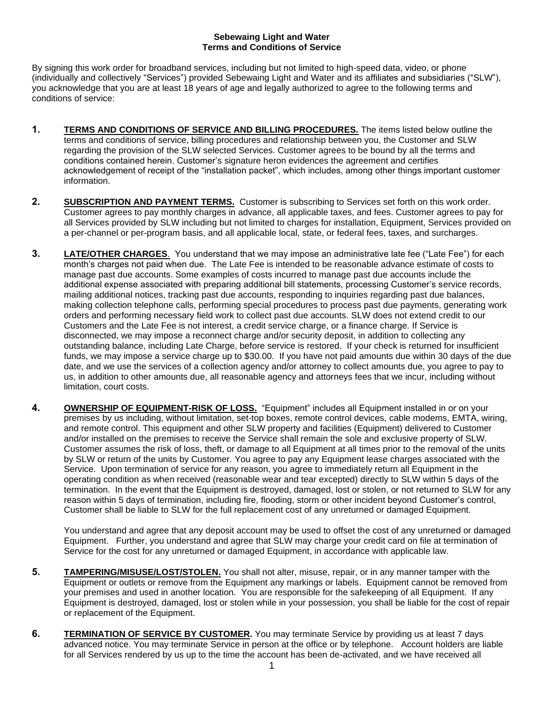## **Sebewaing Light and Water Terms and Conditions of Service**

By signing this work order for broadband services, including but not limited to high-speed data, video, or phone (individually and collectively "Services") provided Sebewaing Light and Water and its affiliates and subsidiaries ("SLW"), you acknowledge that you are at least 18 years of age and legally authorized to agree to the following terms and conditions of service:

- **1. TERMS AND CONDITIONS OF SERVICE AND BILLING PROCEDURES.** The items listed below outline the terms and conditions of service, billing procedures and relationship between you, the Customer and SLW regarding the provision of the SLW selected Services. Customer agrees to be bound by all the terms and conditions contained herein. Customer's signature heron evidences the agreement and certifies acknowledgement of receipt of the "installation packet", which includes, among other things important customer information.
- **2. SUBSCRIPTION AND PAYMENT TERMS.** Customer is subscribing to Services set forth on this work order. Customer agrees to pay monthly charges in advance, all applicable taxes, and fees. Customer agrees to pay for all Services provided by SLW including but not limited to charges for installation, Equipment, Services provided on a per-channel or per-program basis, and all applicable local, state, or federal fees, taxes, and surcharges.
- **3. LATE/OTHER CHARGES**. You understand that we may impose an administrative late fee ("Late Fee") for each month's charges not paid when due. The Late Fee is intended to be reasonable advance estimate of costs to manage past due accounts. Some examples of costs incurred to manage past due accounts include the additional expense associated with preparing additional bill statements, processing Customer's service records, mailing additional notices, tracking past due accounts, responding to inquiries regarding past due balances, making collection telephone calls, performing special procedures to process past due payments, generating work orders and performing necessary field work to collect past due accounts. SLW does not extend credit to our Customers and the Late Fee is not interest, a credit service charge, or a finance charge. If Service is disconnected, we may impose a reconnect charge and/or security deposit, in addition to collecting any outstanding balance, including Late Charge, before service is restored. If your check is returned for insufficient funds, we may impose a service charge up to \$30.00. If you have not paid amounts due within 30 days of the due date, and we use the services of a collection agency and/or attorney to collect amounts due, you agree to pay to us, in addition to other amounts due, all reasonable agency and attorneys fees that we incur, including without limitation, court costs.
- **4. OWNERSHIP OF EQUIPMENT-RISK OF LOSS.** "Equipment" includes all Equipment installed in or on your premises by us including, without limitation, set-top boxes, remote control devices, cable modems, EMTA, wiring, and remote control. This equipment and other SLW property and facilities (Equipment) delivered to Customer and/or installed on the premises to receive the Service shall remain the sole and exclusive property of SLW. Customer assumes the risk of loss, theft, or damage to all Equipment at all times prior to the removal of the units by SLW or return of the units by Customer. You agree to pay any Equipment lease charges associated with the Service. Upon termination of service for any reason, you agree to immediately return all Equipment in the operating condition as when received (reasonable wear and tear excepted) directly to SLW within 5 days of the termination. In the event that the Equipment is destroyed, damaged, lost or stolen, or not returned to SLW for any reason within 5 days of termination, including fire, flooding, storm or other incident beyond Customer's control, Customer shall be liable to SLW for the full replacement cost of any unreturned or damaged Equipment.

You understand and agree that any deposit account may be used to offset the cost of any unreturned or damaged Equipment. Further, you understand and agree that SLW may charge your credit card on file at termination of Service for the cost for any unreturned or damaged Equipment, in accordance with applicable law.

- **5. TAMPERING/MISUSE/LOST/STOLEN.** You shall not alter, misuse, repair, or in any manner tamper with the Equipment or outlets or remove from the Equipment any markings or labels. Equipment cannot be removed from your premises and used in another location. You are responsible for the safekeeping of all Equipment. If any Equipment is destroyed, damaged, lost or stolen while in your possession, you shall be liable for the cost of repair or replacement of the Equipment.
- **6. TERMINATION OF SERVICE BY CUSTOMER.** You may terminate Service by providing us at least 7 days advanced notice. You may terminate Service in person at the office or by telephone. Account holders are liable for all Services rendered by us up to the time the account has been de-activated, and we have received all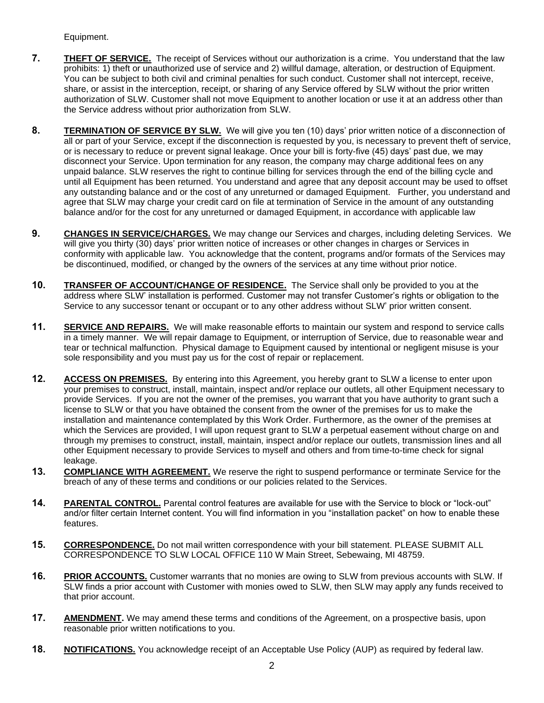Equipment.

- **7. THEFT OF SERVICE.** The receipt of Services without our authorization is a crime. You understand that the law prohibits: 1) theft or unauthorized use of service and 2) willful damage, alteration, or destruction of Equipment. You can be subject to both civil and criminal penalties for such conduct. Customer shall not intercept, receive, share, or assist in the interception, receipt, or sharing of any Service offered by SLW without the prior written authorization of SLW. Customer shall not move Equipment to another location or use it at an address other than the Service address without prior authorization from SLW.
- **8. TERMINATION OF SERVICE BY SLW.** We will give you ten (10) days' prior written notice of a disconnection of all or part of your Service, except if the disconnection is requested by you, is necessary to prevent theft of service, or is necessary to reduce or prevent signal leakage. Once your bill is forty-five (45) days' past due, we may disconnect your Service. Upon termination for any reason, the company may charge additional fees on any unpaid balance. SLW reserves the right to continue billing for services through the end of the billing cycle and until all Equipment has been returned. You understand and agree that any deposit account may be used to offset any outstanding balance and or the cost of any unreturned or damaged Equipment. Further, you understand and agree that SLW may charge your credit card on file at termination of Service in the amount of any outstanding balance and/or for the cost for any unreturned or damaged Equipment, in accordance with applicable law
- **9. CHANGES IN SERVICE/CHARGES.** We may change our Services and charges, including deleting Services. We will give you thirty (30) days' prior written notice of increases or other changes in charges or Services in conformity with applicable law. You acknowledge that the content, programs and/or formats of the Services may be discontinued, modified, or changed by the owners of the services at any time without prior notice.
- **10. TRANSFER OF ACCOUNT/CHANGE OF RESIDENCE.** The Service shall only be provided to you at the address where SLW' installation is performed. Customer may not transfer Customer's rights or obligation to the Service to any successor tenant or occupant or to any other address without SLW' prior written consent.
- **11. SERVICE AND REPAIRS.** We will make reasonable efforts to maintain our system and respond to service calls in a timely manner. We will repair damage to Equipment, or interruption of Service, due to reasonable wear and tear or technical malfunction. Physical damage to Equipment caused by intentional or negligent misuse is your sole responsibility and you must pay us for the cost of repair or replacement.
- **12. ACCESS ON PREMISES.** By entering into this Agreement, you hereby grant to SLW a license to enter upon your premises to construct, install, maintain, inspect and/or replace our outlets, all other Equipment necessary to provide Services. If you are not the owner of the premises, you warrant that you have authority to grant such a license to SLW or that you have obtained the consent from the owner of the premises for us to make the installation and maintenance contemplated by this Work Order. Furthermore, as the owner of the premises at which the Services are provided, I will upon request grant to SLW a perpetual easement without charge on and through my premises to construct, install, maintain, inspect and/or replace our outlets, transmission lines and all other Equipment necessary to provide Services to myself and others and from time-to-time check for signal leakage.
- **13.** COMPLIANCE WITH AGREEMENT. We reserve the right to suspend performance or terminate Service for the breach of any of these terms and conditions or our policies related to the Services.
- **14. PARENTAL CONTROL.** Parental control features are available for use with the Service to block or "lock-out" and/or filter certain Internet content. You will find information in you "installation packet" on how to enable these features.
- **15. CORRESPONDENCE.** Do not mail written correspondence with your bill statement. PLEASE SUBMIT ALL CORRESPONDENCE TO SLW LOCAL OFFICE 110 W Main Street, Sebewaing, MI 48759.
- **16. PRIOR ACCOUNTS.** Customer warrants that no monies are owing to SLW from previous accounts with SLW. If SLW finds a prior account with Customer with monies owed to SLW, then SLW may apply any funds received to that prior account.
- **17. AMENDMENT.** We may amend these terms and conditions of the Agreement, on a prospective basis, upon reasonable prior written notifications to you.
- **18. NOTIFICATIONS.** You acknowledge receipt of an Acceptable Use Policy (AUP) as required by federal law.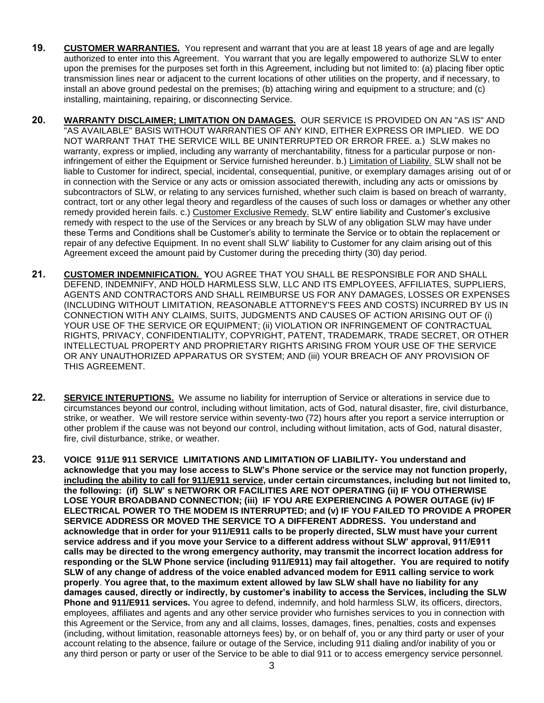- **19. CUSTOMER WARRANTIES.** You represent and warrant that you are at least 18 years of age and are legally authorized to enter into this Agreement. You warrant that you are legally empowered to authorize SLW to enter upon the premises for the purposes set forth in this Agreement, including but not limited to: (a) placing fiber optic transmission lines near or adjacent to the current locations of other utilities on the property, and if necessary, to install an above ground pedestal on the premises; (b) attaching wiring and equipment to a structure; and (c) installing, maintaining, repairing, or disconnecting Service.
- **20. WARRANTY DISCLAIMER; LIMITATION ON DAMAGES.** OUR SERVICE IS PROVIDED ON AN "AS IS" AND "AS AVAILABLE" BASIS WITHOUT WARRANTIES OF ANY KIND, EITHER EXPRESS OR IMPLIED. WE DO NOT WARRANT THAT THE SERVICE WILL BE UNINTERRUPTED OR ERROR FREE. a.) SLW makes no warranty, express or implied, including any warranty of merchantability, fitness for a particular purpose or noninfringement of either the Equipment or Service furnished hereunder. b.) Limitation of Liability. SLW shall not be liable to Customer for indirect, special, incidental, consequential, punitive, or exemplary damages arising out of or in connection with the Service or any acts or omission associated therewith, including any acts or omissions by subcontractors of SLW, or relating to any services furnished, whether such claim is based on breach of warranty, contract, tort or any other legal theory and regardless of the causes of such loss or damages or whether any other remedy provided herein fails. c.) Customer Exclusive Remedy. SLW' entire liability and Customer's exclusive remedy with respect to the use of the Services or any breach by SLW of any obligation SLW may have under these Terms and Conditions shall be Customer's ability to terminate the Service or to obtain the replacement or repair of any defective Equipment. In no event shall SLW' liability to Customer for any claim arising out of this Agreement exceed the amount paid by Customer during the preceding thirty (30) day period.
- **21. CUSTOMER INDEMNIFICATION. Y**OU AGREE THAT YOU SHALL BE RESPONSIBLE FOR AND SHALL DEFEND, INDEMNIFY, AND HOLD HARMLESS SLW, LLC AND ITS EMPLOYEES, AFFILIATES, SUPPLIERS, AGENTS AND CONTRACTORS AND SHALL REIMBURSE US FOR ANY DAMAGES, LOSSES OR EXPENSES (INCLUDING WITHOUT LIMITATION, REASONABLE ATTORNEY'S FEES AND COSTS) INCURRED BY US IN CONNECTION WITH ANY CLAIMS, SUITS, JUDGMENTS AND CAUSES OF ACTION ARISING OUT OF (i) YOUR USE OF THE SERVICE OR EQUIPMENT; (ii) VIOLATION OR INFRINGEMENT OF CONTRACTUAL RIGHTS, PRIVACY, CONFIDENTIALITY, COPYRIGHT, PATENT, TRADEMARK, TRADE SECRET, OR OTHER INTELLECTUAL PROPERTY AND PROPRIETARY RIGHTS ARISING FROM YOUR USE OF THE SERVICE OR ANY UNAUTHORIZED APPARATUS OR SYSTEM; AND (iii) YOUR BREACH OF ANY PROVISION OF THIS AGREEMENT.
- **22. SERVICE INTERUPTIONS.** We assume no liability for interruption of Service or alterations in service due to circumstances beyond our control, including without limitation, acts of God, natural disaster, fire, civil disturbance, strike, or weather. We will restore service within seventy-two (72) hours after you report a service interruption or other problem if the cause was not beyond our control, including without limitation, acts of God, natural disaster, fire, civil disturbance, strike, or weather.
- **23. VOICE 911/E 911 SERVICE LIMITATIONS AND LIMITATION OF LIABILITY- You understand and acknowledge that you may lose access to SLW's Phone service or the service may not function properly, including the ability to call for 911/E911 service, under certain circumstances, including but not limited to, the following: (if) SLW' s NETWORK OR FACILITIES ARE NOT OPERATING (ii) IF YOU OTHERWISE LOSE YOUR BROADBAND CONNECTION; (iii) IF YOU ARE EXPERIENCING A POWER OUTAGE (iv) IF ELECTRICAL POWER TO THE MODEM IS INTERRUPTED; and (v) IF YOU FAILED TO PROVIDE A PROPER SERVICE ADDRESS OR MOVED THE SERVICE TO A DIFFERENT ADDRESS. You understand and acknowledge that in order for your 911/E911 calls to be properly directed, SLW must have your current service address and if you move your Service to a different address without SLW' approval, 911/E911 calls may be directed to the wrong emergency authority, may transmit the incorrect location address for responding or the SLW Phone service (including 911/E911) may fail altogether. You are required to notify SLW of any change of address of the voice enabled advanced modem for E911 calling service to work properly**. **You agree that, to the maximum extent allowed by law SLW shall have no liability for any damages caused, directly or indirectly, by customer's inability to access the Services, including the SLW Phone and 911/E911 services.** You agree to defend, indemnify, and hold harmless SLW, its officers, directors, employees, affiliates and agents and any other service provider who furnishes services to you in connection with this Agreement or the Service, from any and all claims, losses, damages, fines, penalties, costs and expenses (including, without limitation, reasonable attorneys fees) by, or on behalf of, you or any third party or user of your account relating to the absence, failure or outage of the Service, including 911 dialing and/or inability of you or any third person or party or user of the Service to be able to dial 911 or to access emergency service personnel.